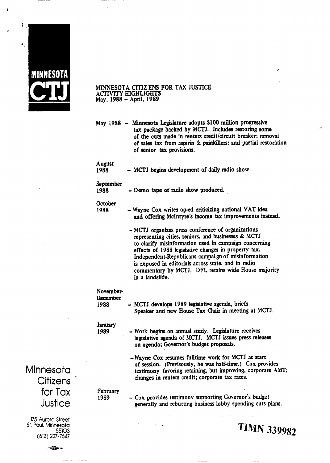

 $\bar{\pmb{\xi}}$ 

## **MINNESOTA CITIZ ENS FOR TAX JUSTICE ACTIVITY HIGHLIGHTS**<br>May, 1988 – April, 1989

 $\mathcal{L}$ 

 $\overline{a}$ 

|                               | May 1988 - Minnesota Legislature adopts \$100 million progressive<br>tax package backed by MCTJ. Includes restoring some<br>of the cuts made in renters credit/circuit breaker; removal<br>of sales tax from aspirin & painkillers; and partial restoration<br>of senior tax provisions.                                                                                                                          |
|-------------------------------|-------------------------------------------------------------------------------------------------------------------------------------------------------------------------------------------------------------------------------------------------------------------------------------------------------------------------------------------------------------------------------------------------------------------|
| <b>August</b><br>1988         | - MCTJ begins development of daily radio show.                                                                                                                                                                                                                                                                                                                                                                    |
| September<br>1988             | - Demo tape of radio show produced.                                                                                                                                                                                                                                                                                                                                                                               |
| October<br>1988               | - Wayne Cox writes op-ed criticizing national VAT idea<br>and offering McIntyre's income tax improvements instead.                                                                                                                                                                                                                                                                                                |
|                               | - MCTJ organizes press conference of organizations<br>representing cities, seniors, and businesses & MCTJ<br>to clarify misinformation used in campaign concerning<br>effects of 1988 legislative changes in property tax.<br>Independent-Republicans campaign of misinformation<br>is exposed in editorials across state. and in radio<br>commentary by MCTJ. DFL retains wide House majority<br>in a landslide. |
| November-<br>Degember<br>1988 | - MCTJ develops 1989 legislative agenda, briefs<br>Speaker and new House Tax Chair in meeting at MCTJ.                                                                                                                                                                                                                                                                                                            |
| <b>January</b><br>1989        | - Work begins on annual study. Legislature receives<br>legislative agenda of MCTJ. MCTJ issues press releases<br>on agenda; Governor's budget proposals.                                                                                                                                                                                                                                                          |
|                               | -Wayne Cox resumes fulltime work for MCTJ at start<br>of session. (Previsously, he was half-time.) Cox provides<br>testimony favoring retaining, but improving, corporate AMT;<br>changes in renters credit; corporate tax rates.                                                                                                                                                                                 |
| February<br>1989              | - Cox provides testimony supporting Governor's budget<br>generally and rebutting business lobby spending cuts plans.                                                                                                                                                                                                                                                                                              |
|                               | <b>TIMN 339982</b>                                                                                                                                                                                                                                                                                                                                                                                                |

Minnesota **Citizens** for Tax Justice

**175** Aurora Street St. Paul, Minnesota

 $\Rightarrow$